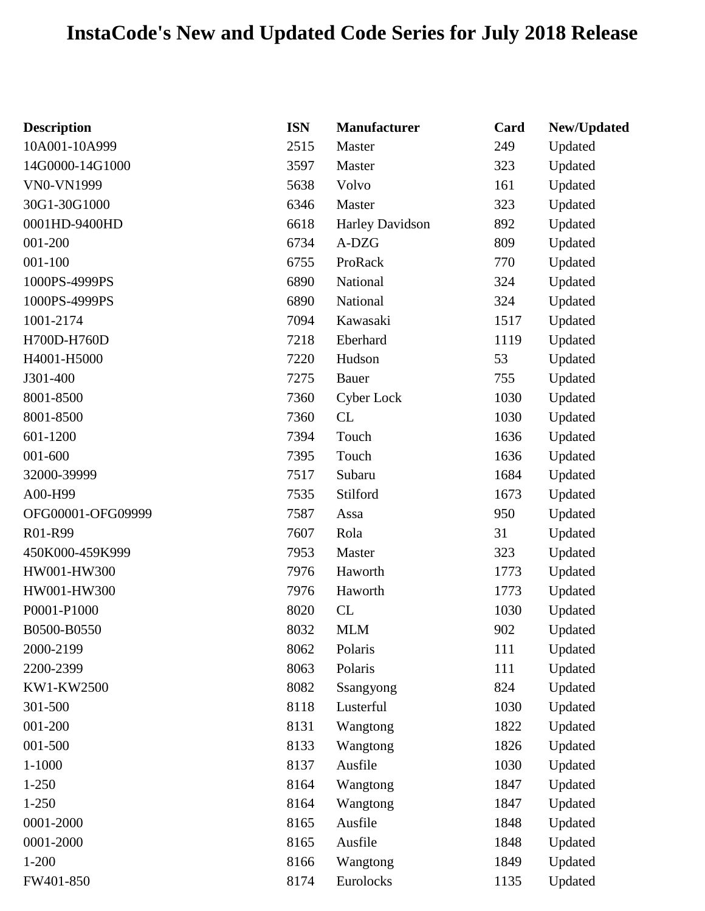## **InstaCode's New and Updated Code Series for July 2018 Release**

| <b>Description</b> | <b>ISN</b> | Manufacturer           | Card | New/Updated |
|--------------------|------------|------------------------|------|-------------|
| 10A001-10A999      | 2515       | Master                 | 249  | Updated     |
| 14G0000-14G1000    | 3597       | Master                 | 323  | Updated     |
| VN0-VN1999         | 5638       | Volvo                  | 161  | Updated     |
| 30G1-30G1000       | 6346       | Master                 | 323  | Updated     |
| 0001HD-9400HD      | 6618       | <b>Harley Davidson</b> | 892  | Updated     |
| 001-200            | 6734       | A-DZG                  | 809  | Updated     |
| 001-100            | 6755       | ProRack                | 770  | Updated     |
| 1000PS-4999PS      | 6890       | National               | 324  | Updated     |
| 1000PS-4999PS      | 6890       | National               | 324  | Updated     |
| 1001-2174          | 7094       | Kawasaki               | 1517 | Updated     |
| H700D-H760D        | 7218       | Eberhard               | 1119 | Updated     |
| H4001-H5000        | 7220       | Hudson                 | 53   | Updated     |
| J301-400           | 7275       | Bauer                  | 755  | Updated     |
| 8001-8500          | 7360       | Cyber Lock             | 1030 | Updated     |
| 8001-8500          | 7360       | CL                     | 1030 | Updated     |
| 601-1200           | 7394       | Touch                  | 1636 | Updated     |
| 001-600            | 7395       | Touch                  | 1636 | Updated     |
| 32000-39999        | 7517       | Subaru                 | 1684 | Updated     |
| A00-H99            | 7535       | Stilford               | 1673 | Updated     |
| OFG00001-OFG09999  | 7587       | Assa                   | 950  | Updated     |
| R01-R99            | 7607       | Rola                   | 31   | Updated     |
| 450K000-459K999    | 7953       | Master                 | 323  | Updated     |
| HW001-HW300        | 7976       | Haworth                | 1773 | Updated     |
| HW001-HW300        | 7976       | Haworth                | 1773 | Updated     |
| P0001-P1000        | 8020       | CL                     | 1030 | Updated     |
| B0500-B0550        | 8032       | <b>MLM</b>             | 902  | Updated     |
| 2000-2199          | 8062       | Polaris                | 111  | Updated     |
| 2200-2399          | 8063       | Polaris                | 111  | Updated     |
| KW1-KW2500         | 8082       | Ssangyong              | 824  | Updated     |
| 301-500            | 8118       | Lusterful              | 1030 | Updated     |
| 001-200            | 8131       | Wangtong               | 1822 | Updated     |
| 001-500            | 8133       | Wangtong               | 1826 | Updated     |
| 1-1000             | 8137       | Ausfile                | 1030 | Updated     |
| $1 - 250$          | 8164       | Wangtong               | 1847 | Updated     |
| $1 - 250$          | 8164       | Wangtong               | 1847 | Updated     |
| 0001-2000          | 8165       | Ausfile                | 1848 | Updated     |
| 0001-2000          | 8165       | Ausfile                | 1848 | Updated     |
| $1 - 200$          | 8166       | Wangtong               | 1849 | Updated     |
| FW401-850          | 8174       | Eurolocks              | 1135 | Updated     |